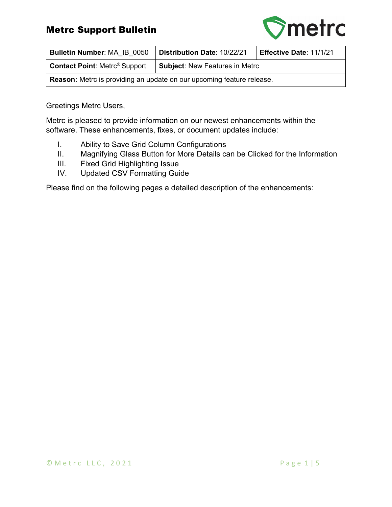### Metrc Support Bulletin



| Bulletin Number: MA IB 0050                                                  | Distribution Date: 10/22/21<br>Effective Date: 11/1/21 |  |  |  |  |  |
|------------------------------------------------------------------------------|--------------------------------------------------------|--|--|--|--|--|
| <b>Contact Point: Metrc<sup>®</sup> Support</b>                              | Subject: New Features in Metrc                         |  |  |  |  |  |
| <b>Reason:</b> Metro is providing an update on our upcoming feature release. |                                                        |  |  |  |  |  |

Greetings Metrc Users,

Metrc is pleased to provide information on our newest enhancements within the software. These enhancements, fixes, or document updates include:

- I. Ability to Save Grid Column Configurations
- II. Magnifying Glass Button for More Details can be Clicked for the Information
- III. Fixed Grid Highlighting Issue
- IV. Updated CSV Formatting Guide

Please find on the following pages a detailed description of the enhancements: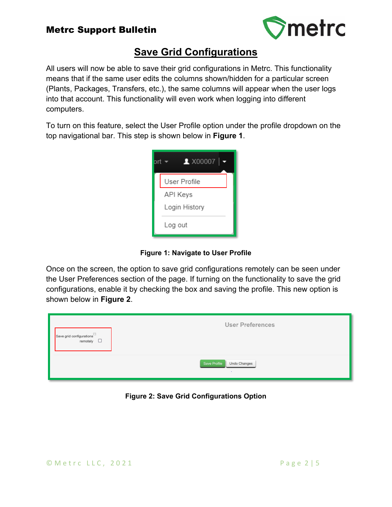### Metrc Support Bulletin



## **Save Grid Configurations**

All users will now be able to save their grid configurations in Metrc. This functionality means that if the same user edits the columns shown/hidden for a particular screen (Plants, Packages, Transfers, etc.), the same columns will appear when the user logs into that account. This functionality will even work when logging into different computers.

To turn on this feature, select the User Profile option under the profile dropdown on the top navigational bar. This step is shown below in **Figure 1**.



**Figure 1: Navigate to User Profile**

Once on the screen, the option to save grid configurations remotely can be seen under the User Preferences section of the page. If turning on the functionality to save the grid configurations, enable it by checking the box and saving the profile. This new option is shown below in **Figure 2**.

| Save grid configurations <sup>[2]</sup><br>remotely $\square$ | <b>User Preferences</b>      |
|---------------------------------------------------------------|------------------------------|
|                                                               | Save Profile<br>Undo Changes |

**Figure 2: Save Grid Configurations Option**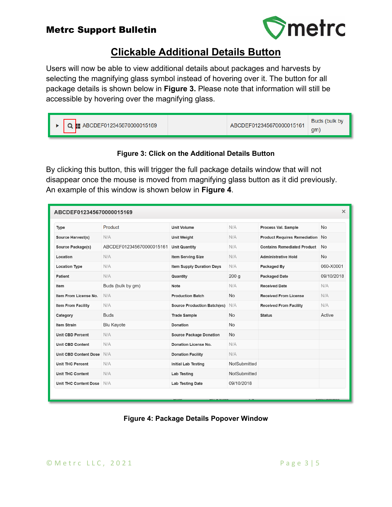

## **Clickable Additional Details Button**

Users will now be able to view additional details about packages and harvests by selecting the magnifying glass symbol instead of hovering over it. The button for all package details is shown below in **Figure 3.** Please note that information will still be accessible by hovering over the magnifying glass.

| Buds (bulk by<br>$\mathbf{Q}$ <b>E</b> ABCDEF012345670000015169<br>ABCDEF012345670000015161<br>qm |
|---------------------------------------------------------------------------------------------------|
|---------------------------------------------------------------------------------------------------|

#### **Figure 3: Click on the Additional Details Button**

By clicking this button, this will trigger the full package details window that will not disappear once the mouse is moved from magnifying glass button as it did previously. An example of this window is shown below in **Figure 4**.

| $\times$<br>ABCDEF012345670000015169 |                          |                                    |              |                                        |            |  |  |
|--------------------------------------|--------------------------|------------------------------------|--------------|----------------------------------------|------------|--|--|
| Type                                 | Product                  | <b>Unit Volume</b>                 | N/A          | Process Val. Sample                    | <b>No</b>  |  |  |
| <b>Source Harvest(s)</b>             | N/A                      | <b>Unit Weight</b>                 | N/A          | <b>Product Requires Remediation No</b> |            |  |  |
| <b>Source Package(s)</b>             | ABCDEF012345670000015161 | <b>Unit Quantity</b>               | N/A          | <b>Contains Remediated Product</b>     | <b>No</b>  |  |  |
| Location                             | N/A                      | <b>Item Serving Size</b>           | N/A          | <b>Administrative Hold</b>             | <b>No</b>  |  |  |
| <b>Location Type</b>                 | N/A                      | Item Supply Duration Days          | N/A          | Packaged By                            | 060-X0001  |  |  |
| <b>Patient</b>                       | N/A                      | Quantity                           | 200q         | <b>Packaged Date</b>                   | 09/10/2018 |  |  |
| Item                                 | Buds (bulk by gm)        | Note                               | N/A          | <b>Received Date</b>                   | N/A        |  |  |
| Item From License No.                | N/A                      | <b>Production Batch</b>            | <b>No</b>    | <b>Received From License</b>           | N/A        |  |  |
| <b>Item From Facility</b>            | N/A                      | <b>Source Production Batch(es)</b> | N/A          | <b>Received From Facility</b>          | N/A        |  |  |
| Category                             | <b>Buds</b>              | <b>Trade Sample</b>                | <b>No</b>    | <b>Status</b>                          | Active     |  |  |
| <b>Item Strain</b>                   | <b>Blu Kayote</b>        | <b>Donation</b>                    | <b>No</b>    |                                        |            |  |  |
| <b>Unit CBD Percent</b>              | N/A                      | <b>Source Package Donation</b>     | <b>No</b>    |                                        |            |  |  |
| Unit CBD Content                     | N/A                      | Donation License No.               | N/A          |                                        |            |  |  |
| Unit CBD Content Dose                | N/A                      | <b>Donation Facility</b>           | N/A          |                                        |            |  |  |
| <b>Unit THC Percent</b>              | N/A                      | <b>Initial Lab Testing</b>         | NotSubmitted |                                        |            |  |  |
| <b>Unit THC Content</b>              | N/A                      | Lab Testing                        | NotSubmitted |                                        |            |  |  |
| <b>Unit THC Content Dose</b>         | N/A                      | <b>Lab Testing Date</b>            | 09/10/2018   |                                        |            |  |  |
|                                      |                          |                                    |              |                                        |            |  |  |

#### **Figure 4: Package Details Popover Window**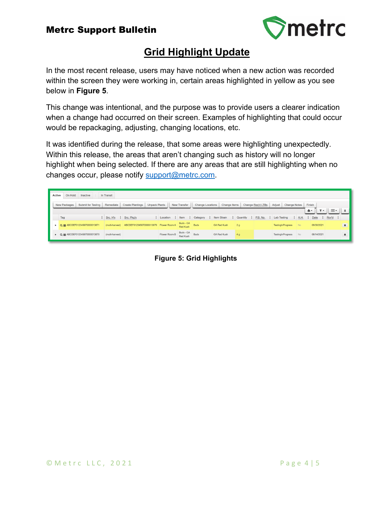

# **Grid Highlight Update**

In the most recent release, users may have noticed when a new action was recorded within the screen they were working in, certain areas highlighted in yellow as you see below in **Figure 5**.

This change was intentional, and the purpose was to provide users a clearer indication when a change had occurred on their screen. Examples of highlighting that could occur would be repackaging, adjusting, changing locations, etc.

It was identified during the release, that some areas were highlighting unexpectedly. Within this release, the areas that aren't changing such as history will no longer highlight when being selected. If there are any areas that are still highlighting when no changes occur, please notify [support@metrc.com.](mailto:support@metrc.com)

| <b>Active</b> | On Hold<br>Inactive                | In Transit                                      |                                          |               |                               |                  |                                                                                |                |                   |                                 |                        |                                      |                         |                |
|---------------|------------------------------------|-------------------------------------------------|------------------------------------------|---------------|-------------------------------|------------------|--------------------------------------------------------------------------------|----------------|-------------------|---------------------------------|------------------------|--------------------------------------|-------------------------|----------------|
|               | Submit for Testing<br>New Packages | Remediate                                       | Create Plantings<br><b>Unpack Plants</b> |               | New Transfer                  | Change Locations | Change Items                                                                   |                | Change Reg'd LTBs | Adjust<br>Change Notes          | Finish                 |                                      |                         |                |
|               |                                    |                                                 |                                          |               |                               |                  |                                                                                |                |                   |                                 | A.                     | $\overline{\mathbf{v}}$ $\mathbf{v}$ | Ξ۰                      |                |
|               | Tag                                | $\frac{1}{2}$ Src. H's $\frac{1}{2}$ Src. Pkg's |                                          |               |                               |                  | : Location : Item : Category : Item Strain : Quantity : P.B. No. : Lab Testing |                |                   |                                 | $\vdots$ A.H. $\vdots$ | Date                                 | $\vdots$ Rcv'd $\vdots$ |                |
|               | Q ## ABCDEF012345670000013871      | (multi-harvest)                                 | ABCDEF012345670000013870 Flower Room A   |               | Buds - GA<br>Red Kush<br>Buds |                  | <b>GA Red Kush</b>                                                             | 2 <sub>q</sub> |                   | <b>TestingInProgress</b><br>No. |                        | 09/30/2021                           |                         | $\mathbf{x}$   |
|               | ▶ Q   ABCDEF012345670000013870     | (multi-harvest)                                 |                                          | Flower Room B | Buds - GA<br>Red Kush         | <b>Buds</b>      | <b>GA Red Kush</b>                                                             | 4g             |                   | <b>TestingInProgress</b><br>No. |                        | 08/14/2021                           |                         | $\pmb{\times}$ |

**Figure 5: Grid Highlights**